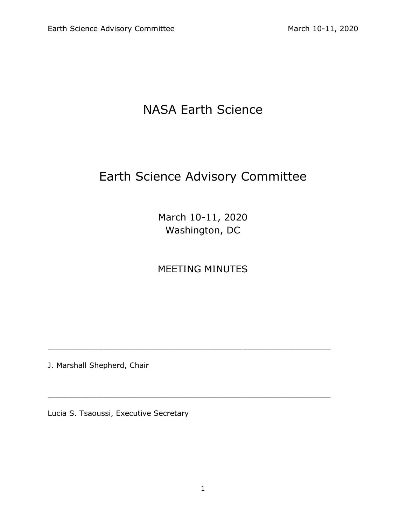# NASA Earth Science

# Earth Science Advisory Committee

March 10-11, 2020 Washington, DC

# MEETING MINUTES

 $\_$  , and the contribution of the contribution of  $\mathcal{L}_1$  , and  $\mathcal{L}_2$  , and  $\mathcal{L}_3$  , and  $\mathcal{L}_4$  , and  $\mathcal{L}_5$  , and  $\mathcal{L}_6$  , and  $\mathcal{L}_7$  , and  $\mathcal{L}_8$  , and  $\mathcal{L}_7$  , and  $\mathcal{L}_8$  , and  $\mathcal{L}_9$  ,

 $\_$  , and the contribution of the contribution of  $\mathcal{L}_\mathcal{A}$  , and the contribution of  $\mathcal{L}_\mathcal{A}$  , and the contribution of  $\mathcal{L}_\mathcal{A}$ 

J. Marshall Shepherd, Chair

Lucia S. Tsaoussi, Executive Secretary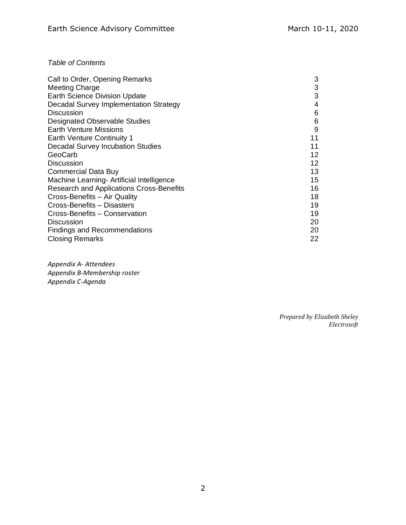# *Table of Contents*

| Call to Order, Opening Remarks                  | 3  |
|-------------------------------------------------|----|
| <b>Meeting Charge</b>                           | 3  |
| <b>Earth Science Division Update</b>            | 3  |
| Decadal Survey Implementation Strategy          | 4  |
| <b>Discussion</b>                               | 6  |
| <b>Designated Observable Studies</b>            | 6  |
| <b>Earth Venture Missions</b>                   | 9  |
| <b>Earth Venture Continuity 1</b>               | 11 |
| <b>Decadal Survey Incubation Studies</b>        | 11 |
| GeoCarb                                         | 12 |
| <b>Discussion</b>                               | 12 |
| <b>Commercial Data Buy</b>                      | 13 |
| Machine Learning- Artificial Intelligence       | 15 |
| <b>Research and Applications Cross-Benefits</b> | 16 |
| Cross-Benefits - Air Quality                    | 18 |
| Cross-Benefits - Disasters                      | 19 |
| Cross-Benefits - Conservation                   | 19 |
| <b>Discussion</b>                               | 20 |
| <b>Findings and Recommendations</b>             | 20 |
| <b>Closing Remarks</b>                          | 22 |

*Appendix A- Attendees Appendix B-Membership roster Appendix C-Agenda*

> *Prepared by Elizabeth Sheley Electrosoft*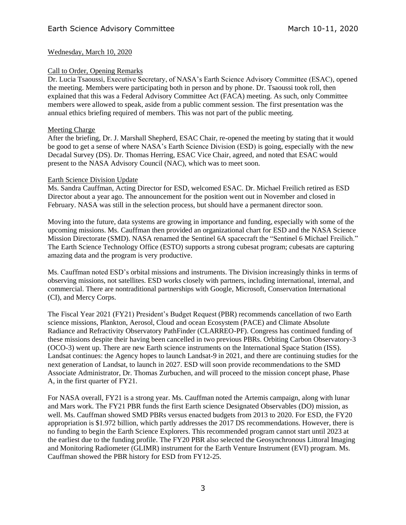# Wednesday, March 10, 2020

# Call to Order, Opening Remarks

Dr. Lucia Tsaoussi, Executive Secretary, of NASA's Earth Science Advisory Committee (ESAC), opened the meeting. Members were participating both in person and by phone. Dr. Tsaoussi took roll, then explained that this was a Federal Advisory Committee Act (FACA) meeting. As such, only Committee members were allowed to speak, aside from a public comment session. The first presentation was the annual ethics briefing required of members. This was not part of the public meeting.

# Meeting Charge

After the briefing, Dr. J. Marshall Shepherd, ESAC Chair, re-opened the meeting by stating that it would be good to get a sense of where NASA's Earth Science Division (ESD) is going, especially with the new Decadal Survey (DS). Dr. Thomas Herring, ESAC Vice Chair, agreed, and noted that ESAC would present to the NASA Advisory Council (NAC), which was to meet soon.

## Earth Science Division Update

Ms. Sandra Cauffman, Acting Director for ESD, welcomed ESAC. Dr. Michael Freilich retired as ESD Director about a year ago. The announcement for the position went out in November and closed in February. NASA was still in the selection process, but should have a permanent director soon.

Moving into the future, data systems are growing in importance and funding, especially with some of the upcoming missions. Ms. Cauffman then provided an organizational chart for ESD and the NASA Science Mission Directorate (SMD). NASA renamed the Sentinel 6A spacecraft the "Sentinel 6 Michael Freilich." The Earth Science Technology Office (ESTO) supports a strong cubesat program; cubesats are capturing amazing data and the program is very productive.

Ms. Cauffman noted ESD's orbital missions and instruments. The Division increasingly thinks in terms of observing missions, not satellites. ESD works closely with partners, including international, internal, and commercial. There are nontraditional partnerships with Google, Microsoft, Conservation International (CI), and Mercy Corps.

The Fiscal Year 2021 (FY21) President's Budget Request (PBR) recommends cancellation of two Earth science missions, Plankton, Aerosol, Cloud and ocean Ecosystem (PACE) and Climate Absolute Radiance and Refractivity Observatory PathFinder (CLARREO-PF). Congress has continued funding of these missions despite their having been cancelled in two previous PBRs. Orbiting Carbon Observatory-3 (OCO-3) went up. There are new Earth science instruments on the International Space Station (ISS). Landsat continues: the Agency hopes to launch Landsat-9 in 2021, and there are continuing studies for the next generation of Landsat, to launch in 2027. ESD will soon provide recommendations to the SMD Associate Administrator, Dr. Thomas Zurbuchen, and will proceed to the mission concept phase, Phase A, in the first quarter of FY21.

For NASA overall, FY21 is a strong year. Ms. Cauffman noted the Artemis campaign, along with lunar and Mars work. The FY21 PBR funds the first Earth science Designated Observables (DO) mission, as well. Ms. Cauffman showed SMD PBRs versus enacted budgets from 2013 to 2020. For ESD, the FY20 appropriation is \$1.972 billion, which partly addresses the 2017 DS recommendations. However, there is no funding to begin the Earth Science Explorers. This recommended program cannot start until 2023 at the earliest due to the funding profile. The FY20 PBR also selected the Geosynchronous Littoral Imaging and Monitoring Radiometer (GLIMR) instrument for the Earth Venture Instrument (EVI) program. Ms. Cauffman showed the PBR history for ESD from FY12-25.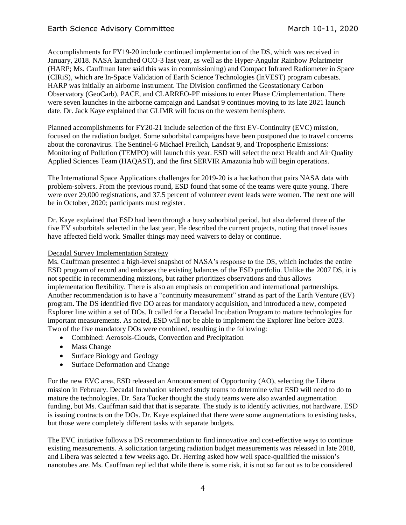Accomplishments for FY19-20 include continued implementation of the DS, which was received in January, 2018. NASA launched OCO-3 last year, as well as the Hyper-Angular Rainbow Polarimeter (HARP; Ms. Cauffman later said this was in commissioning) and Compact Infrared Radiometer in Space (CIRiS), which are In-Space Validation of Earth Science Technologies (InVEST) program cubesats. HARP was initially an airborne instrument. The Division confirmed the Geostationary Carbon Observatory (GeoCarb), PACE, and CLARREO-PF missions to enter Phase C/implementation. There were seven launches in the airborne campaign and Landsat 9 continues moving to its late 2021 launch date. Dr. Jack Kaye explained that GLIMR will focus on the western hemisphere.

Planned accomplishments for FY20-21 include selection of the first EV-Continuity (EVC) mission, focused on the radiation budget. Some suborbital campaigns have been postponed due to travel concerns about the coronavirus. The Sentinel-6 Michael Freilich, Landsat 9, and Tropospheric Emissions: Monitoring of Pollution (TEMPO) will launch this year. ESD will select the next Health and Air Quality Applied Sciences Team (HAQAST), and the first SERVIR Amazonia hub will begin operations.

The International Space Applications challenges for 2019-20 is a hackathon that pairs NASA data with problem-solvers. From the previous round, ESD found that some of the teams were quite young. There were over 29,000 registrations, and 37.5 percent of volunteer event leads were women. The next one will be in October, 2020; participants must register.

Dr. Kaye explained that ESD had been through a busy suborbital period, but also deferred three of the five EV suborbitals selected in the last year. He described the current projects, noting that travel issues have affected field work. Smaller things may need waivers to delay or continue.

## Decadal Survey Implementation Strategy

Ms. Cauffman presented a high-level snapshot of NASA's response to the DS, which includes the entire ESD program of record and endorses the existing balances of the ESD portfolio. Unlike the 2007 DS, it is not specific in recommending missions, but rather prioritizes observations and thus allows implementation flexibility. There is also an emphasis on competition and international partnerships. Another recommendation is to have a "continuity measurement" strand as part of the Earth Venture (EV) program. The DS identified five DO areas for mandatory acquisition, and introduced a new, competed Explorer line within a set of DOs. It called for a Decadal Incubation Program to mature technologies for important measurements. As noted, ESD will not be able to implement the Explorer line before 2023. Two of the five mandatory DOs were combined, resulting in the following:

- Combined: Aerosols-Clouds, Convection and Precipitation
- Mass Change
- Surface Biology and Geology
- Surface Deformation and Change

For the new EVC area, ESD released an Announcement of Opportunity (AO), selecting the Libera mission in February. Decadal Incubation selected study teams to determine what ESD will need to do to mature the technologies. Dr. Sara Tucker thought the study teams were also awarded augmentation funding, but Ms. Cauffman said that that is separate. The study is to identify activities, not hardware. ESD is issuing contracts on the DOs. Dr. Kaye explained that there were some augmentations to existing tasks, but those were completely different tasks with separate budgets.

The EVC initiative follows a DS recommendation to find innovative and cost-effective ways to continue existing measurements. A solicitation targeting radiation budget measurements was released in late 2018, and Libera was selected a few weeks ago. Dr. Herring asked how well space-qualified the mission's nanotubes are. Ms. Cauffman replied that while there is some risk, it is not so far out as to be considered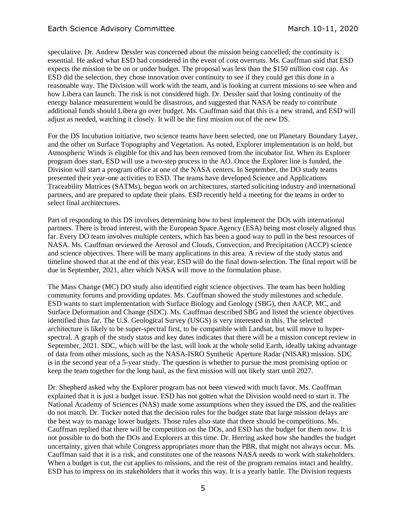speculative. Dr. Andrew Dessler was concerned about the mission being cancelled; the continuity is essential. He asked what ESD had considered in the event of cost overruns. Ms. Cauffman said that ESD expects the mission to be on or under budget. The proposal was less than the \$150 million cost cap. As ESD did the selection, they chose innovation over continuity to see if they could get this done in a reasonable way. The Division will work with the team, and is looking at current missions to see when and how Libera can launch. The risk is not considered high. Dr. Dessler said that losing continuity of the energy balance measurement would be disastrous, and suggested that NASA be ready to contribute additional funds should Libera go over budget. Ms. Cauffman said that this is a new strand, and ESD will adjust as needed, watching it closely. It will be the first mission out of the new DS.

For the DS Incubation initiative, two science teams have been selected, one on Planetary Boundary Layer, and the other on Surface Topography and Vegetation. As noted, Explorer implementation is on hold, but Atmospheric Winds is eligible for this and has been removed from the incubator list. When its Explorer program does start, ESD will use a two-step process in the AO. Once the Explorer line is funded, the Division will start a program office at one of the NASA centers. In September, the DO study teams presented their year-one activities to ESD. The teams have developed Science and Applications Traceability Matrices (SATMs), begun work on architectures, started soliciting industry and international partners, and are prepared to update their plans. ESD recently held a meeting for the teams in order to select final architectures.

Part of responding to this DS involves determining how to best implement the DOs with international partners. There is broad interest, with the European Space Agency (ESA) being most closely aligned thus far. Every DO team involves multiple centers, which has been a good way to pull in the best resources of NASA. Ms. Cauffman reviewed the Aerosol and Clouds, Convection, and Precipitation (ACCP) science and science objectives. There will be many applications in this area. A review of the study status and timeline showed that at the end of this year, ESD will do the final down-selection. The final report will be due in September, 2021, after which NASA will move to the formulation phase.

The Mass Change (MC) DO study also identified eight science objectives. The team has been holding community forums and providing updates. Ms. Cauffman showed the study milestones and schedule. ESD wants to start implementation with Surface Biology and Geology (SBG), then AACP, MC, and Surface Deformation and Change (SDC). Ms. Cauffman described SBG and listed the science objectives identified thus far. The U.S. Geological Survey (USGS) is very interested in this. The selected architecture is likely to be super-spectral first, to be compatible with Landsat, but will move to hyperspectral. A graph of the study status and key dates indicates that there will be a mission concept review in September, 2021. SDC, which will be the last, will look at the whole solid Earth, ideally taking advantage of data from other missions, such as the NASA-ISRO Synthetic Aperture Radar (NISAR) mission. SDC is in the second year of a 5-year study. The question is whether to pursue the most promising option or keep the team together for the long haul, as the first mission will not likely start until 2027.

Dr. Shepherd asked why the Explorer program has not been viewed with much favor. Ms. Cauffman explained that it is just a budget issue. ESD has not gotten what the Division would need to start it. The National Academy of Sciences (NAS) made some assumptions when they issued the DS, and the realities do not match. Dr. Tucker noted that the decision rules for the budget state that large mission delays are the best way to manage lower budgets. Those rules also state that there should be competitions. Ms. Cauffman replied that there will be competition on the DOs, and ESD has the budget for them now. It is not possible to do both the DOs and Explorers at this time. Dr. Herring asked how she handles the budget uncertainty, given that while Congress appropriates more than the PBR, that might not always occur. Ms. Cauffman said that it is a risk, and constitutes one of the reasons NASA needs to work with stakeholders. When a budget is cut, the cut applies to missions, and the rest of the program remains intact and healthy. ESD has to impress on its stakeholders that it works this way. It is a yearly battle. The Division requests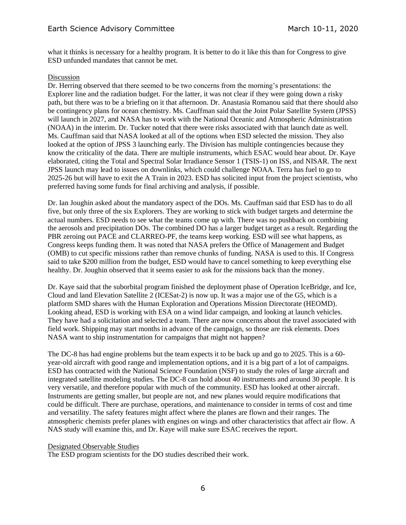what it thinks is necessary for a healthy program. It is better to do it like this than for Congress to give ESD unfunded mandates that cannot be met.

#### Discussion

Dr. Herring observed that there seemed to be two concerns from the morning's presentations: the Explorer line and the radiation budget. For the latter, it was not clear if they were going down a risky path, but there was to be a briefing on it that afternoon. Dr. Anastasia Romanou said that there should also be contingency plans for ocean chemistry. Ms. Cauffman said that the Joint Polar Satellite System (JPSS) will launch in 2027, and NASA has to work with the National Oceanic and Atmospheric Administration (NOAA) in the interim. Dr. Tucker noted that there were risks associated with that launch date as well. Ms. Cauffman said that NASA looked at all of the options when ESD selected the mission. They also looked at the option of JPSS 3 launching early. The Division has multiple contingencies because they know the criticality of the data. There are multiple instruments, which ESAC would hear about. Dr. Kaye elaborated, citing the Total and Spectral Solar Irradiance Sensor 1 (TSIS-1) on ISS, and NISAR. The next JPSS launch may lead to issues on downlinks, which could challenge NOAA. Terra has fuel to go to 2025-26 but will have to exit the A Train in 2023. ESD has solicited input from the project scientists, who preferred having some funds for final archiving and analysis, if possible.

Dr. Ian Joughin asked about the mandatory aspect of the DOs. Ms. Cauffman said that ESD has to do all five, but only three of the six Explorers. They are working to stick with budget targets and determine the actual numbers. ESD needs to see what the teams come up with. There was no pushback on combining the aerosols and precipitation DOs. The combined DO has a larger budget target as a result. Regarding the PBR zeroing out PACE and CLARREO-PF, the teams keep working. ESD will see what happens, as Congress keeps funding them. It was noted that NASA prefers the Office of Management and Budget (OMB) to cut specific missions rather than remove chunks of funding. NASA is used to this. If Congress said to take \$200 million from the budget, ESD would have to cancel something to keep everything else healthy. Dr. Joughin observed that it seems easier to ask for the missions back than the money.

Dr. Kaye said that the suborbital program finished the deployment phase of Operation IceBridge, and Ice, Cloud and land Elevation Satellite 2 (ICESat-2) is now up. It was a major use of the G5, which is a platform SMD shares with the Human Exploration and Operations Mission Directorate (HEOMD). Looking ahead, ESD is working with ESA on a wind lidar campaign, and looking at launch vehicles. They have had a solicitation and selected a team. There are now concerns about the travel associated with field work. Shipping may start months in advance of the campaign, so those are risk elements. Does NASA want to ship instrumentation for campaigns that might not happen?

The DC-8 has had engine problems but the team expects it to be back up and go to 2025. This is a 60 year-old aircraft with good range and implementation options, and it is a big part of a lot of campaigns. ESD has contracted with the National Science Foundation (NSF) to study the roles of large aircraft and integrated satellite modeling studies. The DC-8 can hold about 40 instruments and around 30 people. It is very versatile, and therefore popular with much of the community. ESD has looked at other aircraft. Instruments are getting smaller, but people are not, and new planes would require modifications that could be difficult. There are purchase, operations, and maintenance to consider in terms of cost and time and versatility. The safety features might affect where the planes are flown and their ranges. The atmospheric chemists prefer planes with engines on wings and other characteristics that affect air flow. A NAS study will examine this, and Dr. Kaye will make sure ESAC receives the report.

## Designated Observable Studies

The ESD program scientists for the DO studies described their work.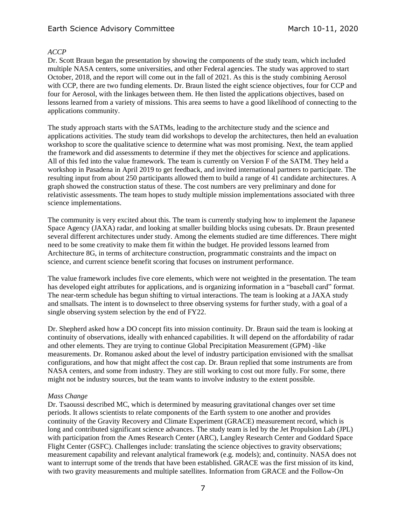# Earth Science Advisory Committee March 10-11, 2020

## *ACCP*

Dr. Scott Braun began the presentation by showing the components of the study team, which included multiple NASA centers, some universities, and other Federal agencies. The study was approved to start October, 2018, and the report will come out in the fall of 2021. As this is the study combining Aerosol with CCP, there are two funding elements. Dr. Braun listed the eight science objectives, four for CCP and four for Aerosol, with the linkages between them. He then listed the applications objectives, based on lessons learned from a variety of missions. This area seems to have a good likelihood of connecting to the applications community.

The study approach starts with the SATMs, leading to the architecture study and the science and applications activities. The study team did workshops to develop the architectures, then held an evaluation workshop to score the qualitative science to determine what was most promising. Next, the team applied the framework and did assessments to determine if they met the objectives for science and applications. All of this fed into the value framework. The team is currently on Version F of the SATM. They held a workshop in Pasadena in April 2019 to get feedback, and invited international partners to participate. The resulting input from about 250 participants allowed them to build a range of 41 candidate architectures. A graph showed the construction status of these. The cost numbers are very preliminary and done for relativistic assessments. The team hopes to study multiple mission implementations associated with three science implementations.

The community is very excited about this. The team is currently studying how to implement the Japanese Space Agency (JAXA) radar, and looking at smaller building blocks using cubesats. Dr. Braun presented several different architectures under study. Among the elements studied are time differences. There might need to be some creativity to make them fit within the budget. He provided lessons learned from Architecture 8G, in terms of architecture construction, programmatic constraints and the impact on science, and current science benefit scoring that focuses on instrument performance.

The value framework includes five core elements, which were not weighted in the presentation. The team has developed eight attributes for applications, and is organizing information in a "baseball card" format. The near-term schedule has begun shifting to virtual interactions. The team is looking at a JAXA study and smallsats. The intent is to downselect to three observing systems for further study, with a goal of a single observing system selection by the end of FY22.

Dr. Shepherd asked how a DO concept fits into mission continuity. Dr. Braun said the team is looking at continuity of observations, ideally with enhanced capabilities. It will depend on the affordability of radar and other elements. They are trying to continue Global Precipitation Measurement (GPM) -like measurements. Dr. Romanou asked about the level of industry participation envisioned with the smallsat configurations, and how that might affect the cost cap. Dr. Braun replied that some instruments are from NASA centers, and some from industry. They are still working to cost out more fully. For some, there might not be industry sources, but the team wants to involve industry to the extent possible.

#### *Mass Change*

Dr. Tsaoussi described MC, which is determined by measuring gravitational changes over set time periods. It allows scientists to relate components of the Earth system to one another and provides continuity of the Gravity Recovery and Climate Experiment (GRACE) measurement record, which is long and contributed significant science advances. The study team is led by the Jet Propulsion Lab (JPL) with participation from the Ames Research Center (ARC), Langley Research Center and Goddard Space Flight Center (GSFC). Challenges include: translating the science objectives to gravity observations; measurement capability and relevant analytical framework (e.g. models); and, continuity. NASA does not want to interrupt some of the trends that have been established. GRACE was the first mission of its kind, with two gravity measurements and multiple satellites. Information from GRACE and the Follow-On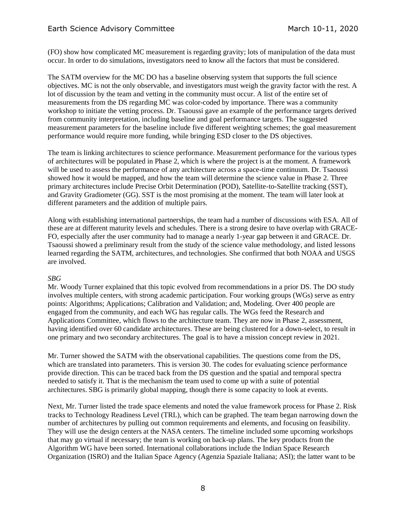# Earth Science Advisory Committee March 10-11, 2020

(FO) show how complicated MC measurement is regarding gravity; lots of manipulation of the data must occur. In order to do simulations, investigators need to know all the factors that must be considered.

The SATM overview for the MC DO has a baseline observing system that supports the full science objectives. MC is not the only observable, and investigators must weigh the gravity factor with the rest. A lot of discussion by the team and vetting in the community must occur. A list of the entire set of measurements from the DS regarding MC was color-coded by importance. There was a community workshop to initiate the vetting process. Dr. Tsaoussi gave an example of the performance targets derived from community interpretation, including baseline and goal performance targets. The suggested measurement parameters for the baseline include five different weighting schemes; the goal measurement performance would require more funding, while bringing ESD closer to the DS objectives.

The team is linking architectures to science performance. Measurement performance for the various types of architectures will be populated in Phase 2, which is where the project is at the moment. A framework will be used to assess the performance of any architecture across a space-time continuum. Dr. Tsaoussi showed how it would be mapped, and how the team will determine the science value in Phase 2. Three primary architectures include Precise Orbit Determination (POD), Satellite-to-Satellite tracking (SST), and Gravity Gradiometer (GG). SST is the most promising at the moment. The team will later look at different parameters and the addition of multiple pairs.

Along with establishing international partnerships, the team had a number of discussions with ESA. All of these are at different maturity levels and schedules. There is a strong desire to have overlap with GRACE-FO, especially after the user community had to manage a nearly 1-year gap between it and GRACE. Dr. Tsaoussi showed a preliminary result from the study of the science value methodology, and listed lessons learned regarding the SATM, architectures, and technologies. She confirmed that both NOAA and USGS are involved.

#### *SBG*

Mr. Woody Turner explained that this topic evolved from recommendations in a prior DS. The DO study involves multiple centers, with strong academic participation. Four working groups (WGs) serve as entry points: Algorithms; Applications; Calibration and Validation; and, Modeling. Over 400 people are engaged from the community, and each WG has regular calls. The WGs feed the Research and Applications Committee, which flows to the architecture team. They are now in Phase 2, assessment, having identified over 60 candidate architectures. These are being clustered for a down-select, to result in one primary and two secondary architectures. The goal is to have a mission concept review in 2021.

Mr. Turner showed the SATM with the observational capabilities. The questions come from the DS, which are translated into parameters. This is version 30. The codes for evaluating science performance provide direction. This can be traced back from the DS question and the spatial and temporal spectra needed to satisfy it. That is the mechanism the team used to come up with a suite of potential architectures. SBG is primarily global mapping, though there is some capacity to look at events.

Next, Mr. Turner listed the trade space elements and noted the value framework process for Phase 2. Risk tracks to Technology Readiness Level (TRL), which can be graphed. The team began narrowing down the number of architectures by pulling out common requirements and elements, and focusing on feasibility. They will use the design centers at the NASA centers. The timeline included some upcoming workshops that may go virtual if necessary; the team is working on back-up plans. The key products from the Algorithm WG have been sorted. International collaborations include the Indian Space Research Organization (ISRO) and the Italian Space Agency (Agenzia Spaziale Italiana; ASI); the latter want to be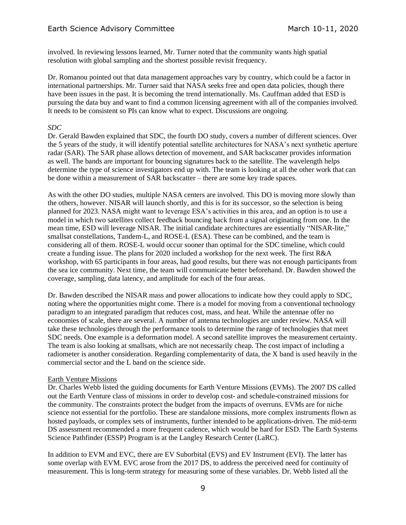involved. In reviewing lessons learned, Mr. Turner noted that the community wants high spatial resolution with global sampling and the shortest possible revisit frequency.

Dr. Romanou pointed out that data management approaches vary by country, which could be a factor in international partnerships. Mr. Turner said that NASA seeks free and open data policies, though there have been issues in the past. It is becoming the trend internationally. Ms. Cauffman added that ESD is pursuing the data buy and want to find a common licensing agreement with all of the companies involved. It needs to be consistent so PIs can know what to expect. Discussions are ongoing.

## *SDC*

Dr. Gerald Bawden explained that SDC, the fourth DO study, covers a number of different sciences. Over the 5 years of the study, it will identify potential satellite architectures for NASA's next synthetic aperture radar (SAR). The SAR phase allows detection of movement, and SAR backscatter provides information as well. The bands are important for bouncing signatures back to the satellite. The wavelength helps determine the type of science investigators end up with. The team is looking at all the other work that can be done within a measurement of SAR backscatter – there are some key trade spaces.

As with the other DO studies, multiple NASA centers are involved. This DO is moving more slowly than the others, however. NISAR will launch shortly, and this is for its successor, so the selection is being planned for 2023. NASA might want to leverage ESA's activities in this area, and an option is to use a model in which two satellites collect feedback bouncing back from a signal originating from one. In the mean time, ESD will leverage NISAR. The initial candidate architectures are essentially "NISAR-lite," smallsat constellations, Tandem-L, and ROSE-L (ESA). These can be combined, and the team is considering all of them. ROSE-L would occur sooner than optimal for the SDC timeline, which could create a funding issue. The plans for 2020 included a workshop for the next week. The first R&A workshop, with 65 participants in four areas, had good results, but there was not enough participants from the sea ice community. Next time, the team will communicate better beforehand. Dr. Bawden showed the coverage, sampling, data latency, and amplitude for each of the four areas.

Dr. Bawden described the NISAR mass and power allocations to indicate how they could apply to SDC, noting where the opportunities might come. There is a model for moving from a conventional technology paradigm to an integrated paradigm that reduces cost, mass, and heat. While the antennae offer no economies of scale, there are several. A number of antenna technologies are under review. NASA will take these technologies through the performance tools to determine the range of technologies that meet SDC needs. One example is a deformation model. A second satellite improves the measurement certainty. The team is also looking at smallsats, which are not necessarily cheap. The cost impact of including a radiometer is another consideration. Regarding complementarity of data, the X band is used heavily in the commercial sector and the L band on the science side.

## Earth Venture Missions

Dr. Charles Webb listed the guiding documents for Earth Venture Missions (EVMs). The 2007 DS called out the Earth Venture class of missions in order to develop cost- and schedule-constrained missions for the community. The constraints protect the budget from the impacts of overruns. EVMs are for niche science not essential for the portfolio. These are standalone missions, more complex instruments flown as hosted payloads, or complex sets of instruments, further intended to be applications-driven. The mid-term DS assessment recommended a more frequent cadence, which would be hard for ESD. The Earth Systems Science Pathfinder (ESSP) Program is at the Langley Research Center (LaRC).

In addition to EVM and EVC, there are EV Suborbital (EVS) and EV Instrument (EVI). The latter has some overlap with EVM. EVC arose from the 2017 DS, to address the perceived need for continuity of measurement. This is long-term strategy for measuring some of these variables. Dr. Webb listed all the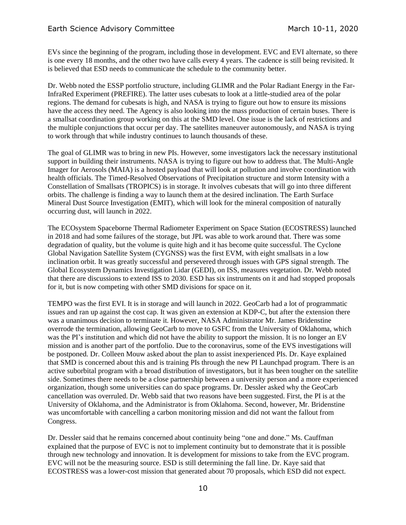EVs since the beginning of the program, including those in development. EVC and EVI alternate, so there is one every 18 months, and the other two have calls every 4 years. The cadence is still being revisited. It is believed that ESD needs to communicate the schedule to the community better.

Dr. Webb noted the ESSP portfolio structure, including GLIMR and the Polar Radiant Energy in the Far-InfraRed Experiment (PREFIRE). The latter uses cubesats to look at a little-studied area of the polar regions. The demand for cubesats is high, and NASA is trying to figure out how to ensure its missions have the access they need. The Agency is also looking into the mass production of certain buses. There is a smallsat coordination group working on this at the SMD level. One issue is the lack of restrictions and the multiple conjunctions that occur per day. The satellites maneuver autonomously, and NASA is trying to work through that while industry continues to launch thousands of these.

The goal of GLIMR was to bring in new PIs. However, some investigators lack the necessary institutional support in building their instruments. NASA is trying to figure out how to address that. The Multi-Angle Imager for Aerosols (MAIA) is a hosted payload that will look at pollution and involve coordination with health officials. The Timed-Resolved Observations of Precipitation structure and storm Intensity with a Constellation of Smallsats (TROPICS) is in storage. It involves cubesats that will go into three different orbits. The challenge is finding a way to launch them at the desired inclination. The Earth Surface Mineral Dust Source Investigation (EMIT), which will look for the mineral composition of naturally occurring dust, will launch in 2022.

The ECOsystem Spaceborne Thermal Radiometer Experiment on Space Station (ECOSTRESS) launched in 2018 and had some failures of the storage, but JPL was able to work around that. There was some degradation of quality, but the volume is quite high and it has become quite successful. The Cyclone Global Navigation Satellite System (CYGNSS) was the first EVM, with eight smallsats in a low inclination orbit. It was greatly successful and persevered through issues with GPS signal strength. The Global Ecosystem Dynamics Investigation Lidar (GEDI), on ISS, measures vegetation. Dr. Webb noted that there are discussions to extend ISS to 2030. ESD has six instruments on it and had stopped proposals for it, but is now competing with other SMD divisions for space on it.

TEMPO was the first EVI. It is in storage and will launch in 2022. GeoCarb had a lot of programmatic issues and ran up against the cost cap. It was given an extension at KDP-C, but after the extension there was a unanimous decision to terminate it. However, NASA Administrator Mr. James Bridenstine overrode the termination, allowing GeoCarb to move to GSFC from the University of Oklahoma, which was the PI's institution and which did not have the ability to support the mission. It is no longer an EV mission and is another part of the portfolio. Due to the coronavirus, some of the EVS investigations will be postponed. Dr. Colleen Mouw asked about the plan to assist inexperienced PIs. Dr. Kaye explained that SMD is concerned about this and is training PIs through the new PI Launchpad program. There is an active suborbital program with a broad distribution of investigators, but it has been tougher on the satellite side. Sometimes there needs to be a close partnership between a university person and a more experienced organization, though some universities can do space programs. Dr. Dessler asked why the GeoCarb cancellation was overruled. Dr. Webb said that two reasons have been suggested. First, the PI is at the University of Oklahoma, and the Administrator is from Oklahoma. Second, however, Mr. Bridenstine was uncomfortable with cancelling a carbon monitoring mission and did not want the fallout from Congress.

Dr. Dessler said that he remains concerned about continuity being "one and done." Ms. Cauffman explained that the purpose of EVC is not to implement continuity but to demonstrate that it is possible through new technology and innovation. It is development for missions to take from the EVC program. EVC will not be the measuring source. ESD is still determining the fall line. Dr. Kaye said that ECOSTRESS was a lower-cost mission that generated about 70 proposals, which ESD did not expect.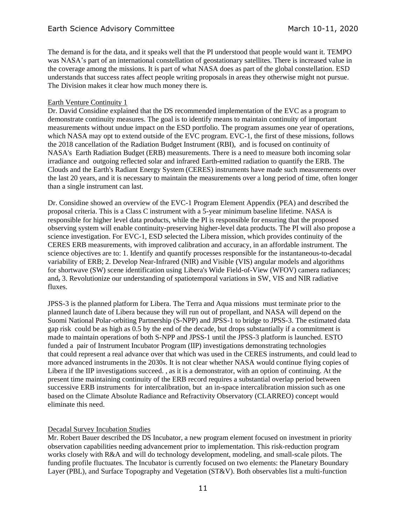The demand is for the data, and it speaks well that the PI understood that people would want it. TEMPO was NASA's part of an international constellation of geostationary satellites. There is increased value in the coverage among the missions. It is part of what NASA does as part of the global constellation. ESD understands that success rates affect people writing proposals in areas they otherwise might not pursue. The Division makes it clear how much money there is.

#### Earth Venture Continuity 1

Dr. David Considine explained that the DS recommended implementation of the EVC as a program to demonstrate continuity measures. The goal is to identify means to maintain continuity of important measurements without undue impact on the ESD portfolio. The program assumes one year of operations, which NASA may opt to extend outside of the EVC program. EVC-1, the first of these missions, follows the 2018 cancellation of the Radiation Budget Instrument (RBI), and is focused on continuity of NASA's Earth Radiation Budget (ERB) measurements. There is a need to measure both incoming solar irradiance and outgoing reflected solar and infrared Earth-emitted radiation to quantify the ERB. The Clouds and the Earth's Radiant Energy System (CERES) instruments have made such measurements over the last 20 years, and it is necessary to maintain the measurements over a long period of time, often longer than a single instrument can last.

Dr. Considine showed an overview of the EVC-1 Program Element Appendix (PEA) and described the proposal criteria. This is a Class C instrument with a 5-year minimum baseline lifetime. NASA is responsible for higher level data products, while the PI is responsible for ensuring that the proposed observing system will enable continuity-preserving higher-level data products. The PI will also propose a science investigation. For EVC-1, ESD selected the Libera mission, which provides continuity of the CERES ERB measurements, with improved calibration and accuracy, in an affordable instrument. The science objectives are to: 1. Identify and quantify processes responsible for the instantaneous-to-decadal variability of ERB; 2. Develop Near-Infrared (NIR) and Visible (VIS) angular models and algorithms for shortwave (SW) scene identification using Libera's Wide Field-of-View (WFOV) camera radiances; and, 3. Revolutionize our understanding of spatiotemporal variations in SW, VIS and NIR radiative fluxes.

JPSS-3 is the planned platform for Libera. The Terra and Aqua missions must terminate prior to the planned launch date of Libera because they will run out of propellant, and NASA will depend on the Suomi National Polar-orbiting Partnership (S-NPP) and JPSS-1 to bridge to JPSS-3. The estimated data gap risk could be as high as 0.5 by the end of the decade, but drops substantially if a commitment is made to maintain operations of both S-NPP and JPSS-1 until the JPSS-3 platform is launched. ESTO funded a pair of Instrument Incubator Program (IIP) investigations demonstrating technologies that could represent a real advance over that which was used in the CERES instruments, and could lead to more advanced instruments in the 2030s. It is not clear whether NASA would continue flying copies of Libera if the IIP investigations succeed. , as it is a demonstrator, with an option of continuing. At the present time maintaining continuity of the ERB record requires a substantial overlap period between successive ERB instruments for intercalibration, but an in-space intercalibration mission such as one based on the Climate Absolute Radiance and Refractivity Observatory (CLARREO) concept would eliminate this need.

## Decadal Survey Incubation Studies

Mr. Robert Bauer described the DS Incubator, a new program element focused on investment in priority observation capabilities needing advancement prior to implementation. This risk-reduction program works closely with R&A and will do technology development, modeling, and small-scale pilots. The funding profile fluctuates. The Incubator is currently focused on two elements: the Planetary Boundary Layer (PBL), and Surface Topography and Vegetation (ST&V). Both observables list a multi-function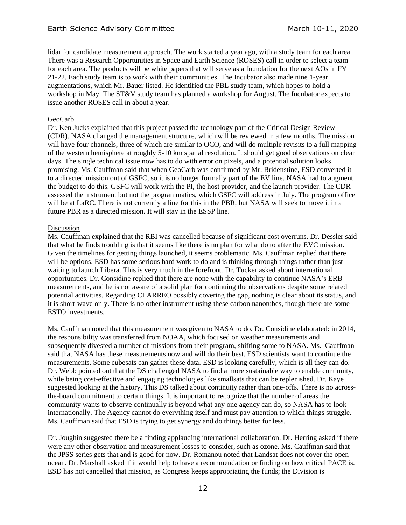lidar for candidate measurement approach. The work started a year ago, with a study team for each area. There was a Research Opportunities in Space and Earth Science (ROSES) call in order to select a team for each area. The products will be white papers that will serve as a foundation for the next AOs in FY 21-22. Each study team is to work with their communities. The Incubator also made nine 1-year augmentations, which Mr. Bauer listed. He identified the PBL study team, which hopes to hold a workshop in May. The ST&V study team has planned a workshop for August. The Incubator expects to issue another ROSES call in about a year.

#### GeoCarb

Dr. Ken Jucks explained that this project passed the technology part of the Critical Design Review (CDR). NASA changed the management structure, which will be reviewed in a few months. The mission will have four channels, three of which are similar to OCO, and will do multiple revisits to a full mapping of the western hemisphere at roughly 5-10 km spatial resolution. It should get good observations on clear days. The single technical issue now has to do with error on pixels, and a potential solution looks promising. Ms. Cauffman said that when GeoCarb was confirmed by Mr. Bridenstine, ESD converted it to a directed mission out of GSFC, so it is no longer formally part of the EV line. NASA had to augment the budget to do this. GSFC will work with the PI, the host provider, and the launch provider. The CDR assessed the instrument but not the programmatics, which GSFC will address in July. The program office will be at LaRC. There is not currently a line for this in the PBR, but NASA will seek to move it in a future PBR as a directed mission. It will stay in the ESSP line.

#### Discussion

Ms. Cauffman explained that the RBI was cancelled because of significant cost overruns. Dr. Dessler said that what he finds troubling is that it seems like there is no plan for what do to after the EVC mission. Given the timelines for getting things launched, it seems problematic. Ms. Cauffman replied that there will be options. ESD has some serious hard work to do and is thinking through things rather than just waiting to launch Libera. This is very much in the forefront. Dr. Tucker asked about international opportunities. Dr. Considine replied that there are none with the capability to continue NASA's ERB measurements, and he is not aware of a solid plan for continuing the observations despite some related potential activities. Regarding CLARREO possibly covering the gap, nothing is clear about its status, and it is short-wave only. There is no other instrument using these carbon nanotubes, though there are some ESTO investments.

Ms. Cauffman noted that this measurement was given to NASA to do. Dr. Considine elaborated: in 2014, the responsibility was transferred from NOAA, which focused on weather measurements and subsequently divested a number of missions from their program, shifting some to NASA. Ms. Cauffman said that NASA has these measurements now and will do their best. ESD scientists want to continue the measurements. Some cubesats can gather these data. ESD is looking carefully, which is all they can do. Dr. Webb pointed out that the DS challenged NASA to find a more sustainable way to enable continuity, while being cost-effective and engaging technologies like smallsats that can be replenished. Dr. Kaye suggested looking at the history. This DS talked about continuity rather than one-offs. There is no acrossthe-board commitment to certain things. It is important to recognize that the number of areas the community wants to observe continually is beyond what any one agency can do, so NASA has to look internationally. The Agency cannot do everything itself and must pay attention to which things struggle. Ms. Cauffman said that ESD is trying to get synergy and do things better for less.

Dr. Joughin suggested there be a finding applauding international collaboration. Dr. Herring asked if there were any other observation and measurement losses to consider, such as ozone. Ms. Cauffman said that the JPSS series gets that and is good for now. Dr. Romanou noted that Landsat does not cover the open ocean. Dr. Marshall asked if it would help to have a recommendation or finding on how critical PACE is. ESD has not cancelled that mission, as Congress keeps appropriating the funds; the Division is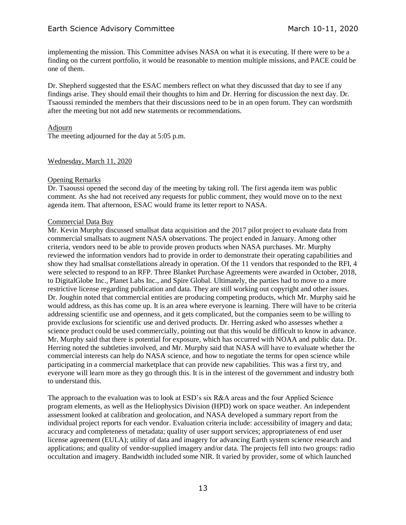implementing the mission. This Committee advises NASA on what it is executing. If there were to be a finding on the current portfolio, it would be reasonable to mention multiple missions, and PACE could be one of them.

Dr. Shepherd suggested that the ESAC members reflect on what they discussed that day to see if any findings arise. They should email their thoughts to him and Dr. Herring for discussion the next day. Dr. Tsaoussi reminded the members that their discussions need to be in an open forum. They can wordsmith after the meeting but not add new statements or recommendations.

#### Adjourn

The meeting adjourned for the day at 5:05 p.m.

#### Wednesday, March 11, 2020

#### Opening Remarks

Dr. Tsaoussi opened the second day of the meeting by taking roll. The first agenda item was public comment. As she had not received any requests for public comment, they would move on to the next agenda item. That afternoon, ESAC would frame its letter report to NASA.

#### Commercial Data Buy

Mr. Kevin Murphy discussed smallsat data acquisition and the 2017 pilot project to evaluate data from commercial smallsats to augment NASA observations. The project ended in January. Among other criteria, vendors need to be able to provide proven products when NASA purchases. Mr. Murphy reviewed the information vendors had to provide in order to demonstrate their operating capabilities and show they had smallsat constellations already in operation. Of the 11 vendors that responded to the RFI, 4 were selected to respond to an RFP. Three Blanket Purchase Agreements were awarded in October, 2018, to DigitalGlobe Inc., Planet Labs Inc., and Spire Global. Ultimately, the parties had to move to a more restrictive license regarding publication and data. They are still working out copyright and other issues. Dr. Joughin noted that commercial entities are producing competing products, which Mr. Murphy said he would address, as this has come up. It is an area where everyone is learning. There will have to be criteria addressing scientific use and openness, and it gets complicated, but the companies seem to be willing to provide exclusions for scientific use and derived products. Dr. Herring asked who assesses whether a science product could be used commercially, pointing out that this would be difficult to know in advance. Mr. Murphy said that there is potential for exposure, which has occurred with NOAA and public data. Dr. Herring noted the subtleties involved, and Mr. Murphy said that NASA will have to evaluate whether the commercial interests can help do NASA science, and how to negotiate the terms for open science while participating in a commercial marketplace that can provide new capabilities. This was a first try, and everyone will learn more as they go through this. It is in the interest of the government and industry both to understand this.

The approach to the evaluation was to look at ESD's six R&A areas and the four Applied Science program elements, as well as the Heliophysics Division (HPD) work on space weather. An independent assessment looked at calibration and geolocation, and NASA developed a summary report from the individual project reports for each vendor. Evaluation criteria include: accessibility of imagery and data; accuracy and completeness of metadata; quality of user support services; appropriateness of end user license agreement (EULA); utility of data and imagery for advancing Earth system science research and applications; and quality of vendor-supplied imagery and/or data. The projects fell into two groups: radio occultation and imagery. Bandwidth included some NIR. It varied by provider, some of which launched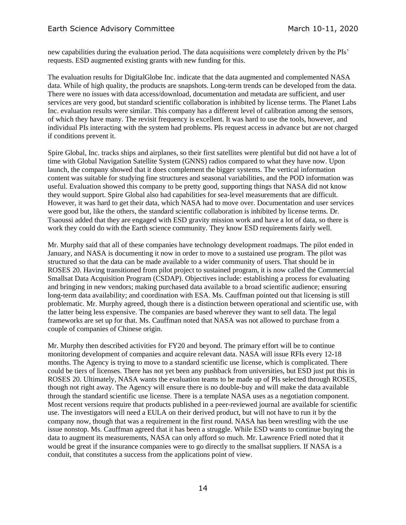new capabilities during the evaluation period. The data acquisitions were completely driven by the PIs' requests. ESD augmented existing grants with new funding for this.

The evaluation results for DigitalGlobe Inc. indicate that the data augmented and complemented NASA data. While of high quality, the products are snapshots. Long-term trends can be developed from the data. There were no issues with data access/download, documentation and metadata are sufficient, and user services are very good, but standard scientific collaboration is inhibited by license terms. The Planet Labs Inc. evaluation results were similar. This company has a different level of calibration among the sensors, of which they have many. The revisit frequency is excellent. It was hard to use the tools, however, and individual PIs interacting with the system had problems. PIs request access in advance but are not charged if conditions prevent it.

Spire Global, Inc. tracks ships and airplanes, so their first satellites were plentiful but did not have a lot of time with Global Navigation Satellite System (GNNS) radios compared to what they have now. Upon launch, the company showed that it does complement the bigger systems. The vertical information content was suitable for studying fine structures and seasonal variabilities, and the POD information was useful. Evaluation showed this company to be pretty good, supporting things that NASA did not know they would support. Spire Global also had capabilities for sea-level measurements that are difficult. However, it was hard to get their data, which NASA had to move over. Documentation and user services were good but, like the others, the standard scientific collaboration is inhibited by license terms. Dr. Tsaoussi added that they are engaged with ESD gravity mission work and have a lot of data, so there is work they could do with the Earth science community. They know ESD requirements fairly well.

Mr. Murphy said that all of these companies have technology development roadmaps. The pilot ended in January, and NASA is documenting it now in order to move to a sustained use program. The pilot was structured so that the data can be made available to a wider community of users. That should be in ROSES 20. Having transitioned from pilot project to sustained program, it is now called the Commercial Smallsat Data Acquisition Program (CSDAP). Objectives include: establishing a process for evaluating and bringing in new vendors; making purchased data available to a broad scientific audience; ensuring long-term data availability; and coordination with ESA. Ms. Cauffman pointed out that licensing is still problematic. Mr. Murphy agreed, though there is a distinction between operational and scientific use, with the latter being less expensive. The companies are based wherever they want to sell data. The legal frameworks are set up for that. Ms. Cauffman noted that NASA was not allowed to purchase from a couple of companies of Chinese origin.

Mr. Murphy then described activities for FY20 and beyond. The primary effort will be to continue monitoring development of companies and acquire relevant data. NASA will issue RFIs every 12-18 months. The Agency is trying to move to a standard scientific use license, which is complicated. There could be tiers of licenses. There has not yet been any pushback from universities, but ESD just put this in ROSES 20. Ultimately, NASA wants the evaluation teams to be made up of PIs selected through ROSES, though not right away. The Agency will ensure there is no double-buy and will make the data available through the standard scientific use license. There is a template NASA uses as a negotiation component. Most recent versions require that products published in a peer-reviewed journal are available for scientific use. The investigators will need a EULA on their derived product, but will not have to run it by the company now, though that was a requirement in the first round. NASA has been wrestling with the use issue nonstop. Ms. Cauffman agreed that it has been a struggle. While ESD wants to continue buying the data to augment its measurements, NASA can only afford so much. Mr. Lawrence Friedl noted that it would be great if the insurance companies were to go directly to the smallsat suppliers. If NASA is a conduit, that constitutes a success from the applications point of view.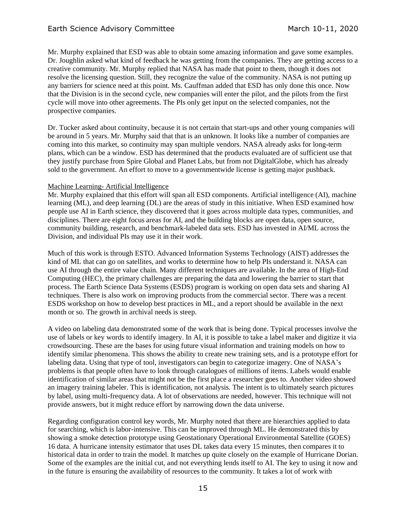# Earth Science Advisory Committee March 10-11, 2020

Mr. Murphy explained that ESD was able to obtain some amazing information and gave some examples. Dr. Joughlin asked what kind of feedback he was getting from the companies. They are getting access to a creative community. Mr. Murphy replied that NASA has made that point to them, though it does not resolve the licensing question. Still, they recognize the value of the community. NASA is not putting up any barriers for science need at this point. Ms. Cauffman added that ESD has only done this once. Now that the Division is in the second cycle, new companies will enter the pilot, and the pilots from the first cycle will move into other agreements. The PIs only get input on the selected companies, not the prospective companies.

Dr. Tucker asked about continuity, because it is not certain that start-ups and other young companies will be around in 5 years. Mr. Murphy said that that is an unknown. It looks like a number of companies are coming into this market, so continuity may span multiple vendors. NASA already asks for long-term plans, which can be a window. ESD has determined that the products evaluated are of sufficient use that they justify purchase from Spire Global and Planet Labs, but from not DigitalGlobe, which has already sold to the government. An effort to move to a governmentwide license is getting major pushback.

#### Machine Learning- Artificial Intelligence

Mr. Murphy explained that this effort will span all ESD components. Artificial intelligence (AI), machine learning (ML), and deep learning (DL) are the areas of study in this initiative. When ESD examined how people use AI in Earth science, they discovered that it goes across multiple data types, communities, and disciplines. There are eight focus areas for AI, and the building blocks are open data, open source, community building, research, and benchmark-labeled data sets. ESD has invested in AI/ML across the Division, and individual PIs may use it in their work.

Much of this work is through ESTO. Advanced Information Systems Technology (AIST) addresses the kind of ML that can go on satellites, and works to determine how to help PIs understand it. NASA can use AI through the entire value chain. Many different techniques are available. In the area of High-End Computing (HEC), the primary challenges are preparing the data and lowering the barrier to start that process. The Earth Science Data Systems (ESDS) program is working on open data sets and sharing AI techniques. There is also work on improving products from the commercial sector. There was a recent ESDS workshop on how to develop best practices in ML, and a report should be available in the next month or so. The growth in archival needs is steep.

A video on labeling data demonstrated some of the work that is being done. Typical processes involve the use of labels or key words to identify imagery. In AI, it is possible to take a label maker and digitize it via crowdsourcing. These are the bases for using future visual information and training models on how to identify similar phenomena. This shows the ability to create new training sets, and is a prototype effort for labeling data. Using that type of tool, investigators can begin to categorize imagery. One of NASA's problems is that people often have to look through catalogues of millions of items. Labels would enable identification of similar areas that might not be the first place a researcher goes to. Another video showed an imagery training labeler. This is identification, not analysis. The intent is to ultimately search pictures by label, using multi-frequency data. A lot of observations are needed, however. This technique will not provide answers, but it might reduce effort by narrowing down the data universe.

Regarding configuration control key words, Mr. Murphy noted that there are hierarchies applied to data for searching, which is labor-intensive. This can be improved through ML. He demonstrated this by showing a smoke detection prototype using Geostationary Operational Environmental Satellite (GOES) 16 data. A hurricane intensity estimator that uses DL takes data every 15 minutes, then compares it to historical data in order to train the model. It matches up quite closely on the example of Hurricane Dorian. Some of the examples are the initial cut, and not everything lends itself to AI. The key to using it now and in the future is ensuring the availability of resources to the community. It takes a lot of work with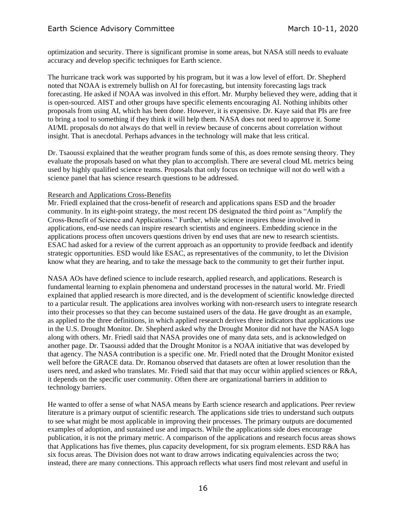optimization and security. There is significant promise in some areas, but NASA still needs to evaluate accuracy and develop specific techniques for Earth science.

The hurricane track work was supported by his program, but it was a low level of effort. Dr. Shepherd noted that NOAA is extremely bullish on AI for forecasting, but intensity forecasting lags track forecasting. He asked if NOAA was involved in this effort. Mr. Murphy believed they were, adding that it is open-sourced. AIST and other groups have specific elements encouraging AI. Nothing inhibits other proposals from using AI, which has been done. However, it is expensive. Dr. Kaye said that PIs are free to bring a tool to something if they think it will help them. NASA does not need to approve it. Some AI/ML proposals do not always do that well in review because of concerns about correlation without insight. That is anecdotal. Perhaps advances in the technology will make that less critical.

Dr. Tsaoussi explained that the weather program funds some of this, as does remote sensing theory. They evaluate the proposals based on what they plan to accomplish. There are several cloud ML metrics being used by highly qualified science teams. Proposals that only focus on technique will not do well with a science panel that has science research questions to be addressed.

#### Research and Applications Cross-Benefits

Mr. Friedl explained that the cross-benefit of research and applications spans ESD and the broader community. In its eight-point strategy, the most recent DS designated the third point as "Amplify the Cross-Benefit of Science and Applications." Further, while science inspires those involved in applications, end-use needs can inspire research scientists and engineers. Embedding science in the applications process often uncovers questions driven by end uses that are new to research scientists. ESAC had asked for a review of the current approach as an opportunity to provide feedback and identify strategic opportunities. ESD would like ESAC, as representatives of the community, to let the Division know what they are hearing, and to take the message back to the community to get their further input.

NASA AOs have defined science to include research, applied research, and applications. Research is fundamental learning to explain phenomena and understand processes in the natural world. Mr. Friedl explained that applied research is more directed, and is the development of scientific knowledge directed to a particular result. The applications area involves working with non-research users to integrate research into their processes so that they can become sustained users of the data. He gave drought as an example, as applied to the three definitions, in which applied research derives three indicators that applications use in the U.S. Drought Monitor. Dr. Shepherd asked why the Drought Monitor did not have the NASA logo along with others. Mr. Friedl said that NASA provides one of many data sets, and is acknowledged on another page. Dr. Tsaoussi added that the Drought Monitor is a NOAA initiative that was developed by that agency. The NASA contribution is a specific one. Mr. Friedl noted that the Drought Monitor existed well before the GRACE data. Dr. Romanou observed that datasets are often at lower resolution than the users need, and asked who translates. Mr. Friedl said that that may occur within applied sciences or R&A, it depends on the specific user community. Often there are organizational barriers in addition to technology barriers.

He wanted to offer a sense of what NASA means by Earth science research and applications. Peer review literature is a primary output of scientific research. The applications side tries to understand such outputs to see what might be most applicable in improving their processes. The primary outputs are documented examples of adoption, and sustained use and impacts. While the applications side does encourage publication, it is not the primary metric. A comparison of the applications and research focus areas shows that Applications has five themes, plus capacity development, for six program elements. ESD R&A has six focus areas. The Division does not want to draw arrows indicating equivalencies across the two; instead, there are many connections. This approach reflects what users find most relevant and useful in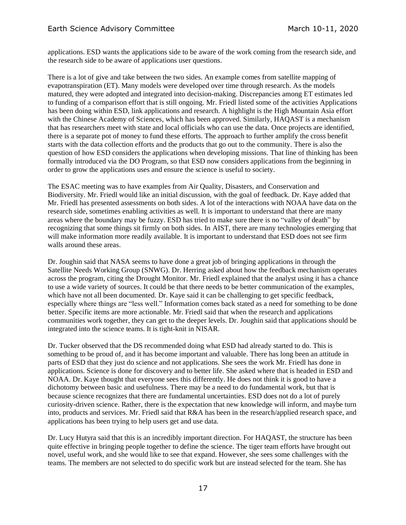applications. ESD wants the applications side to be aware of the work coming from the research side, and the research side to be aware of applications user questions.

There is a lot of give and take between the two sides. An example comes from satellite mapping of evapotranspiration (ET). Many models were developed over time through research. As the models matured, they were adopted and integrated into decision-making. Discrepancies among ET estimates led to funding of a comparison effort that is still ongoing. Mr. Friedl listed some of the activities Applications has been doing within ESD, link applications and research. A highlight is the High Mountain Asia effort with the Chinese Academy of Sciences, which has been approved. Similarly, HAOAST is a mechanism that has researchers meet with state and local officials who can use the data. Once projects are identified, there is a separate pot of money to fund these efforts. The approach to further amplify the cross benefit starts with the data collection efforts and the products that go out to the community. There is also the question of how ESD considers the applications when developing missions. That line of thinking has been formally introduced via the DO Program, so that ESD now considers applications from the beginning in order to grow the applications uses and ensure the science is useful to society.

The ESAC meeting was to have examples from Air Quality, Disasters, and Conservation and Biodiversity. Mr. Friedl would like an initial discussion, with the goal of feedback. Dr. Kaye added that Mr. Friedl has presented assessments on both sides. A lot of the interactions with NOAA have data on the research side, sometimes enabling activities as well. It is important to understand that there are many areas where the boundary may be fuzzy. ESD has tried to make sure there is no "valley of death" by recognizing that some things sit firmly on both sides. In AIST, there are many technologies emerging that will make information more readily available. It is important to understand that ESD does not see firm walls around these areas.

Dr. Joughin said that NASA seems to have done a great job of bringing applications in through the Satellite Needs Working Group (SNWG). Dr. Herring asked about how the feedback mechanism operates across the program, citing the Drought Monitor. Mr. Friedl explained that the analyst using it has a chance to use a wide variety of sources. It could be that there needs to be better communication of the examples, which have not all been documented. Dr. Kaye said it can be challenging to get specific feedback, especially where things are "less well." Information comes back stated as a need for something to be done better. Specific items are more actionable. Mr. Friedl said that when the research and applications communities work together, they can get to the deeper levels. Dr. Joughin said that applications should be integrated into the science teams. It is tight-knit in NISAR.

Dr. Tucker observed that the DS recommended doing what ESD had already started to do. This is something to be proud of, and it has become important and valuable. There has long been an attitude in parts of ESD that they just do science and not applications. She sees the work Mr. Friedl has done in applications. Science is done for discovery and to better life. She asked where that is headed in ESD and NOAA. Dr. Kaye thought that everyone sees this differently. He does not think it is good to have a dichotomy between basic and usefulness. There may be a need to do fundamental work, but that is because science recognizes that there are fundamental uncertainties. ESD does not do a lot of purely curiosity-driven science. Rather, there is the expectation that new knowledge will inform, and maybe turn into, products and services. Mr. Friedl said that R&A has been in the research/applied research space, and applications has been trying to help users get and use data.

Dr. Lucy Hutyra said that this is an incredibly important direction. For HAQAST, the structure has been quite effective in bringing people together to define the science. The tiger team efforts have brought out novel, useful work, and she would like to see that expand. However, she sees some challenges with the teams. The members are not selected to do specific work but are instead selected for the team. She has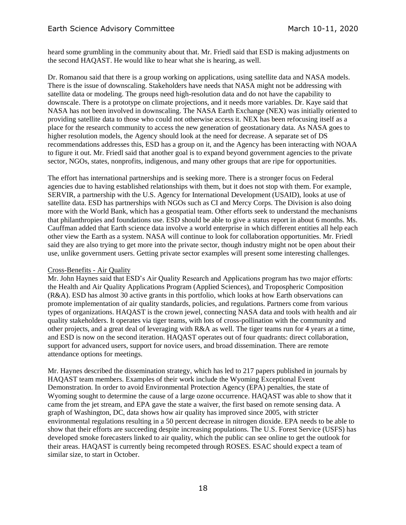heard some grumbling in the community about that. Mr. Friedl said that ESD is making adjustments on the second HAQAST. He would like to hear what she is hearing, as well.

Dr. Romanou said that there is a group working on applications, using satellite data and NASA models. There is the issue of downscaling. Stakeholders have needs that NASA might not be addressing with satellite data or modeling. The groups need high-resolution data and do not have the capability to downscale. There is a prototype on climate projections, and it needs more variables. Dr. Kaye said that NASA has not been involved in downscaling. The NASA Earth Exchange (NEX) was initially oriented to providing satellite data to those who could not otherwise access it. NEX has been refocusing itself as a place for the research community to access the new generation of geostationary data. As NASA goes to higher resolution models, the Agency should look at the need for decrease. A separate set of DS recommendations addresses this, ESD has a group on it, and the Agency has been interacting with NOAA to figure it out. Mr. Friedl said that another goal is to expand beyond government agencies to the private sector, NGOs, states, nonprofits, indigenous, and many other groups that are ripe for opportunities.

The effort has international partnerships and is seeking more. There is a stronger focus on Federal agencies due to having established relationships with them, but it does not stop with them. For example, SERVIR, a partnership with the U.S. Agency for International Development (USAID), looks at use of satellite data. ESD has partnerships with NGOs such as CI and Mercy Corps. The Division is also doing more with the World Bank, which has a geospatial team. Other efforts seek to understand the mechanisms that philanthropies and foundations use. ESD should be able to give a status report in about 6 months. Ms. Cauffman added that Earth science data involve a world enterprise in which different entities all help each other view the Earth as a system. NASA will continue to look for collaboration opportunities. Mr. Friedl said they are also trying to get more into the private sector, though industry might not be open about their use, unlike government users. Getting private sector examples will present some interesting challenges.

## Cross-Benefits - Air Quality

Mr. John Haynes said that ESD's Air Quality Research and Applications program has two major efforts: the Health and Air Quality Applications Program (Applied Sciences), and Tropospheric Composition (R&A). ESD has almost 30 active grants in this portfolio, which looks at how Earth observations can promote implementation of air quality standards, policies, and regulations. Partners come from various types of organizations. HAQAST is the crown jewel, connecting NASA data and tools with health and air quality stakeholders. It operates via tiger teams, with lots of cross-pollination with the community and other projects, and a great deal of leveraging with R&A as well. The tiger teams run for 4 years at a time, and ESD is now on the second iteration. HAQAST operates out of four quadrants: direct collaboration, support for advanced users, support for novice users, and broad dissemination. There are remote attendance options for meetings.

Mr. Haynes described the dissemination strategy, which has led to 217 papers published in journals by HAQAST team members. Examples of their work include the Wyoming Exceptional Event Demonstration. In order to avoid Environmental Protection Agency (EPA) penalties, the state of Wyoming sought to determine the cause of a large ozone occurrence. HAQAST was able to show that it came from the jet stream, and EPA gave the state a waiver, the first based on remote sensing data. A graph of Washington, DC, data shows how air quality has improved since 2005, with stricter environmental regulations resulting in a 50 percent decrease in nitrogen dioxide. EPA needs to be able to show that their efforts are succeeding despite increasing populations. The U.S. Forest Service (USFS) has developed smoke forecasters linked to air quality, which the public can see online to get the outlook for their areas. HAQAST is currently being recompeted through ROSES. ESAC should expect a team of similar size, to start in October.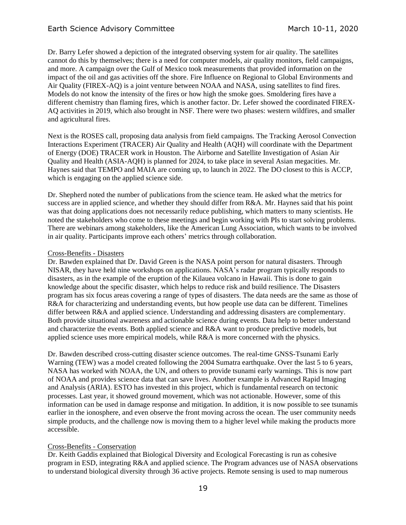# Earth Science Advisory Committee March 10-11, 2020

Dr. Barry Lefer showed a depiction of the integrated observing system for air quality. The satellites cannot do this by themselves; there is a need for computer models, air quality monitors, field campaigns, and more. A campaign over the Gulf of Mexico took measurements that provided information on the impact of the oil and gas activities off the shore. Fire Influence on Regional to Global Environments and Air Quality (FIREX-AQ) is a joint venture between NOAA and NASA, using satellites to find fires. Models do not know the intensity of the fires or how high the smoke goes. Smoldering fires have a different chemistry than flaming fires, which is another factor. Dr. Lefer showed the coordinated FIREX-AQ activities in 2019, which also brought in NSF. There were two phases: western wildfires, and smaller and agricultural fires.

Next is the ROSES call, proposing data analysis from field campaigns. The Tracking Aerosol Convection Interactions Experiment (TRACER) Air Quality and Health (AQH) will coordinate with the Department of Energy (DOE) TRACER work in Houston. The Airborne and Satellite Investigation of Asian Air Quality and Health (ASIA-AQH) is planned for 2024, to take place in several Asian megacities. Mr. Haynes said that TEMPO and MAIA are coming up, to launch in 2022. The DO closest to this is ACCP, which is engaging on the applied science side.

Dr. Shepherd noted the number of publications from the science team. He asked what the metrics for success are in applied science, and whether they should differ from R&A. Mr. Haynes said that his point was that doing applications does not necessarily reduce publishing, which matters to many scientists. He noted the stakeholders who come to these meetings and begin working with PIs to start solving problems. There are webinars among stakeholders, like the American Lung Association, which wants to be involved in air quality. Participants improve each others' metrics through collaboration.

#### Cross-Benefits - Disasters

Dr. Bawden explained that Dr. David Green is the NASA point person for natural disasters. Through NISAR, they have held nine workshops on applications. NASA's radar program typically responds to disasters, as in the example of the eruption of the Kilauea volcano in Hawaii. This is done to gain knowledge about the specific disaster, which helps to reduce risk and build resilience. The Disasters program has six focus areas covering a range of types of disasters. The data needs are the same as those of R&A for characterizing and understanding events, but how people use data can be different. Timelines differ between R&A and applied science. Understanding and addressing disasters are complementary. Both provide situational awareness and actionable science during events. Data help to better understand and characterize the events. Both applied science and R&A want to produce predictive models, but applied science uses more empirical models, while R&A is more concerned with the physics.

Dr. Bawden described cross-cutting disaster science outcomes. The real-time GNSS-Tsunami Early Warning (TEW) was a model created following the 2004 Sumatra earthquake. Over the last 5 to 6 years, NASA has worked with NOAA, the UN, and others to provide tsunami early warnings. This is now part of NOAA and provides science data that can save lives. Another example is Advanced Rapid Imaging and Analysis (ARIA). ESTO has invested in this project, which is fundamental research on tectonic processes. Last year, it showed ground movement, which was not actionable. However, some of this information can be used in damage response and mitigation. In addition, it is now possible to see tsunamis earlier in the ionosphere, and even observe the front moving across the ocean. The user community needs simple products, and the challenge now is moving them to a higher level while making the products more accessible.

## Cross-Benefits - Conservation

Dr. Keith Gaddis explained that Biological Diversity and Ecological Forecasting is run as cohesive program in ESD, integrating R&A and applied science. The Program advances use of NASA observations to understand biological diversity through 36 active projects. Remote sensing is used to map numerous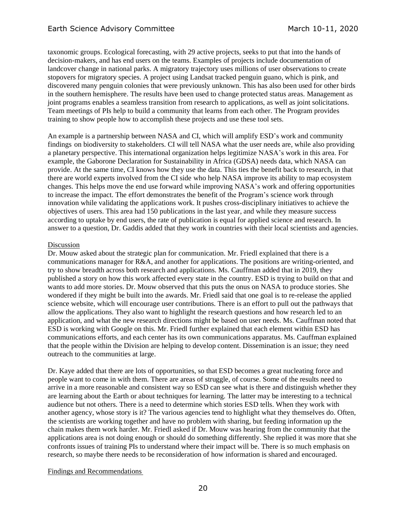taxonomic groups. Ecological forecasting, with 29 active projects, seeks to put that into the hands of decision-makers, and has end users on the teams. Examples of projects include documentation of landcover change in national parks. A migratory trajectory uses millions of user observations to create stopovers for migratory species. A project using Landsat tracked penguin guano, which is pink, and discovered many penguin colonies that were previously unknown. This has also been used for other birds in the southern hemisphere. The results have been used to change protected status areas. Management as joint programs enables a seamless transition from research to applications, as well as joint solicitations. Team meetings of PIs help to build a community that learns from each other. The Program provides training to show people how to accomplish these projects and use these tool sets.

An example is a partnership between NASA and CI, which will amplify ESD's work and community findings on biodiversity to stakeholders. CI will tell NASA what the user needs are, while also providing a planetary perspective. This international organization helps legitimize NASA's work in this area. For example, the Gaborone Declaration for Sustainability in Africa (GDSA) needs data, which NASA can provide. At the same time, CI knows how they use the data. This ties the benefit back to research, in that there are world experts involved from the CI side who help NASA improve its ability to map ecosystem changes. This helps move the end use forward while improving NASA's work and offering opportunities to increase the impact. The effort demonstrates the benefit of the Program's science work through innovation while validating the applications work. It pushes cross-disciplinary initiatives to achieve the objectives of users. This area had 150 publications in the last year, and while they measure success according to uptake by end users, the rate of publication is equal for applied science and research. In answer to a question, Dr. Gaddis added that they work in countries with their local scientists and agencies.

#### Discussion

Dr. Mouw asked about the strategic plan for communication. Mr. Friedl explained that there is a communications manager for R&A, and another for applications. The positions are writing-oriented, and try to show breadth across both research and applications. Ms. Cauffman added that in 2019, they published a story on how this work affected every state in the country. ESD is trying to build on that and wants to add more stories. Dr. Mouw observed that this puts the onus on NASA to produce stories. She wondered if they might be built into the awards. Mr. Friedl said that one goal is to re-release the applied science website, which will encourage user contributions. There is an effort to pull out the pathways that allow the applications. They also want to highlight the research questions and how research led to an application, and what the new research directions might be based on user needs. Ms. Cauffman noted that ESD is working with Google on this. Mr. Friedl further explained that each element within ESD has communications efforts, and each center has its own communications apparatus. Ms. Cauffman explained that the people within the Division are helping to develop content. Dissemination is an issue; they need outreach to the communities at large.

Dr. Kaye added that there are lots of opportunities, so that ESD becomes a great nucleating force and people want to come in with them. There are areas of struggle, of course. Some of the results need to arrive in a more reasonable and consistent way so ESD can see what is there and distinguish whether they are learning about the Earth or about techniques for learning. The latter may be interesting to a technical audience but not others. There is a need to determine which stories ESD tells. When they work with another agency, whose story is it? The various agencies tend to highlight what they themselves do. Often, the scientists are working together and have no problem with sharing, but feeding information up the chain makes them work harder. Mr. Friedl asked if Dr. Mouw was hearing from the community that the applications area is not doing enough or should do something differently. She replied it was more that she confronts issues of training PIs to understand where their impact will be. There is so much emphasis on research, so maybe there needs to be reconsideration of how information is shared and encouraged.

#### Findings and Recommendations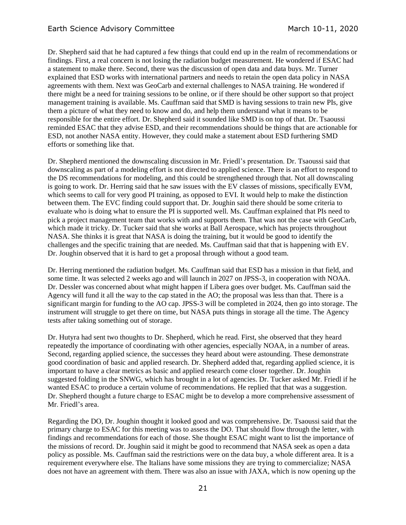Dr. Shepherd said that he had captured a few things that could end up in the realm of recommendations or findings. First, a real concern is not losing the radiation budget measurement. He wondered if ESAC had a statement to make there. Second, there was the discussion of open data and data buys. Mr. Turner explained that ESD works with international partners and needs to retain the open data policy in NASA agreements with them. Next was GeoCarb and external challenges to NASA training. He wondered if there might be a need for training sessions to be online, or if there should be other support so that project management training is available. Ms. Cauffman said that SMD is having sessions to train new PIs, give them a picture of what they need to know and do, and help them understand what it means to be responsible for the entire effort. Dr. Shepherd said it sounded like SMD is on top of that. Dr. Tsaoussi reminded ESAC that they advise ESD, and their recommendations should be things that are actionable for ESD, not another NASA entity. However, they could make a statement about ESD furthering SMD efforts or something like that.

Dr. Shepherd mentioned the downscaling discussion in Mr. Friedl's presentation. Dr. Tsaoussi said that downscaling as part of a modeling effort is not directed to applied science. There is an effort to respond to the DS recommendations for modeling, and this could be strengthened through that. Not all downscaling is going to work. Dr. Herring said that he saw issues with the EV classes of missions, specifically EVM, which seems to call for very good PI training, as opposed to EVI. It would help to make the distinction between them. The EVC finding could support that. Dr. Joughin said there should be some criteria to evaluate who is doing what to ensure the PI is supported well. Ms. Cauffman explained that PIs need to pick a project management team that works with and supports them. That was not the case with GeoCarb, which made it tricky. Dr. Tucker said that she works at Ball Aerospace, which has projects throughout NASA. She thinks it is great that NASA is doing the training, but it would be good to identify the challenges and the specific training that are needed. Ms. Cauffman said that that is happening with EV. Dr. Joughin observed that it is hard to get a proposal through without a good team.

Dr. Herring mentioned the radiation budget. Ms. Cauffman said that ESD has a mission in that field, and some time. It was selected 2 weeks ago and will launch in 2027 on JPSS-3, in cooperation with NOAA. Dr. Dessler was concerned about what might happen if Libera goes over budget. Ms. Cauffman said the Agency will fund it all the way to the cap stated in the AO; the proposal was less than that. There is a significant margin for funding to the AO cap. JPSS-3 will be completed in 2024, then go into storage. The instrument will struggle to get there on time, but NASA puts things in storage all the time. The Agency tests after taking something out of storage.

Dr. Hutyra had sent two thoughts to Dr. Shepherd, which he read. First, she observed that they heard repeatedly the importance of coordinating with other agencies, especially NOAA, in a number of areas. Second, regarding applied science, the successes they heard about were astounding. These demonstrate good coordination of basic and applied research. Dr. Shepherd added that, regarding applied science, it is important to have a clear metrics as basic and applied research come closer together. Dr. Joughin suggested folding in the SNWG, which has brought in a lot of agencies. Dr. Tucker asked Mr. Friedl if he wanted ESAC to produce a certain volume of recommendations. He replied that that was a suggestion. Dr. Shepherd thought a future charge to ESAC might be to develop a more comprehensive assessment of Mr. Friedl's area.

Regarding the DO, Dr. Joughin thought it looked good and was comprehensive. Dr. Tsaoussi said that the primary charge to ESAC for this meeting was to assess the DO. That should flow through the letter, with findings and recommendations for each of those. She thought ESAC might want to list the importance of the missions of record. Dr. Joughin said it might be good to recommend that NASA seek as open a data policy as possible. Ms. Cauffman said the restrictions were on the data buy, a whole different area. It is a requirement everywhere else. The Italians have some missions they are trying to commercialize; NASA does not have an agreement with them. There was also an issue with JAXA, which is now opening up the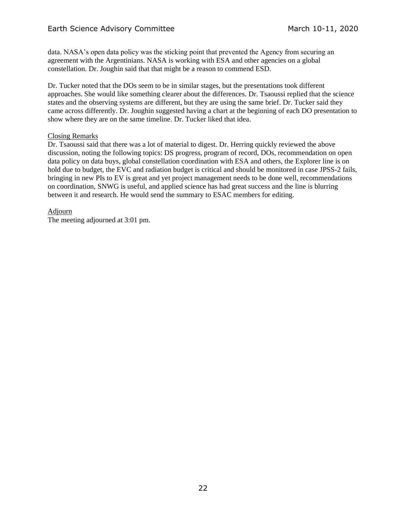data. NASA's open data policy was the sticking point that prevented the Agency from securing an agreement with the Argentinians. NASA is working with ESA and other agencies on a global constellation. Dr. Joughin said that that might be a reason to commend ESD.

Dr. Tucker noted that the DOs seem to be in similar stages, but the presentations took different approaches. She would like something clearer about the differences. Dr. Tsaoussi replied that the science states and the observing systems are different, but they are using the same brief. Dr. Tucker said they came across differently. Dr. Joughin suggested having a chart at the beginning of each DO presentation to show where they are on the same timeline. Dr. Tucker liked that idea.

# Closing Remarks

Dr. Tsaoussi said that there was a lot of material to digest. Dr. Herring quickly reviewed the above discussion, noting the following topics: DS progress, program of record, DOs, recommendation on open data policy on data buys, global constellation coordination with ESA and others, the Explorer line is on hold due to budget, the EVC and radiation budget is critical and should be monitored in case JPSS-2 fails, bringing in new PIs to EV is great and yet project management needs to be done well, recommendations on coordination, SNWG is useful, and applied science has had great success and the line is blurring between it and research. He would send the summary to ESAC members for editing.

Adjourn

The meeting adjourned at 3:01 pm.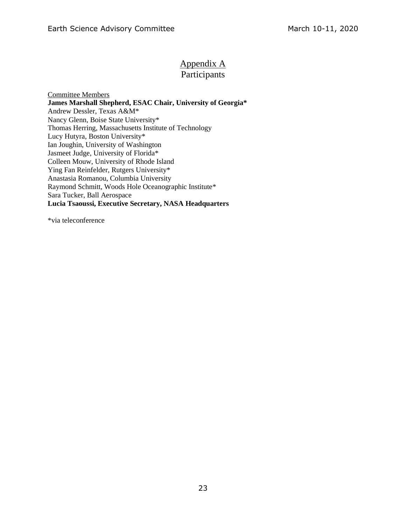# Appendix A

# Participants

Committee Members **James Marshall Shepherd, ESAC Chair, University of Georgia\*** Andrew Dessler, Texas A&M\* Nancy Glenn, Boise State University\* Thomas Herring, Massachusetts Institute of Technology Lucy Hutyra, Boston University\* Ian Joughin, University of Washington Jasmeet Judge, University of Florida\* Colleen Mouw, University of Rhode Island Ying Fan Reinfelder, Rutgers University\* Anastasia Romanou, Columbia University Raymond Schmitt, Woods Hole Oceanographic Institute\* Sara Tucker, Ball Aerospace **Lucia Tsaoussi, Executive Secretary, NASA Headquarters**

\*via teleconference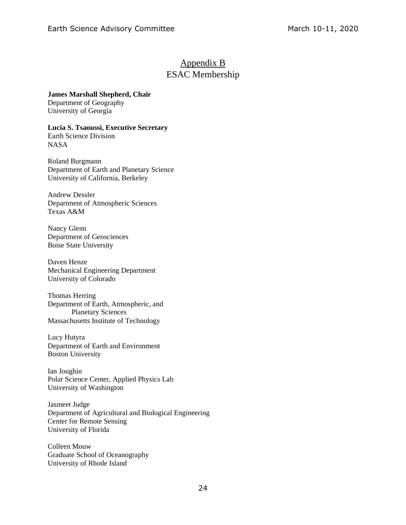# Appendix B ESAC Membership

# **James Marshall Shepherd, Chair**

Department of Geography University of Georgia

# **Lucia S. Tsaoussi, Executive Secretary**

Earth Science Division NASA

Roland Burgmann Department of Earth and Planetary Science University of California, Berkeley

Andrew Dessler Department of Atmospheric Sciences Texas A&M

Nancy Glenn Department of Geosciences Boise State University

Daven Henze Mechanical Engineering Department University of Colorado

Thomas Herring Department of Earth, Atmospheric, and Planetary Sciences Massachusetts Institute of Technology

Lucy Hutyra Department of Earth and Environment Boston University

Ian Joughin Polar Science Center, Applied Physics Lab University of Washington

Jasmeet Judge Department of Agricultural and Biological Engineering Center for Remote Sensing University of Florida

Colleen Mouw Graduate School of Oceanography University of Rhode Island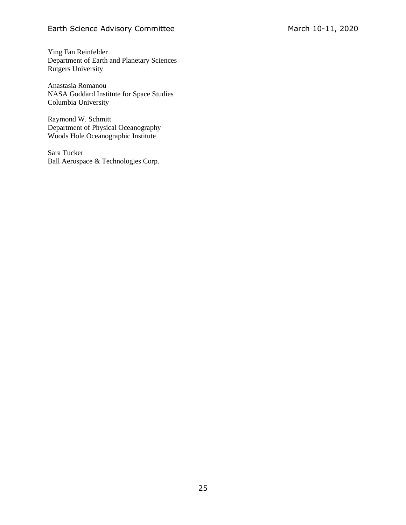Ying Fan Reinfelder Department of Earth and Planetary Sciences Rutgers University

Anastasia Romanou NASA Goddard Institute for Space Studies Columbia University

Raymond W. Schmitt Department of Physical Oceanography Woods Hole Oceanographic Institute

Sara Tucker Ball Aerospace & Technologies Corp.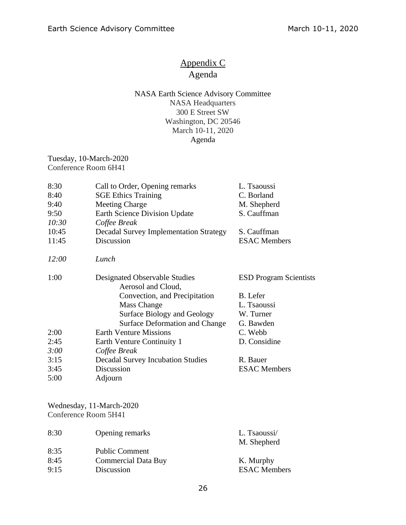# Appendix C Agenda

# NASA Earth Science Advisory Committee NASA Headquarters 300 E Street SW Washington, DC 20546 March 10-11, 2020 Agenda

Tuesday, 10-March-2020 Conference Room 6H41

| 8:30  | Call to Order, Opening remarks                      | L. Tsaoussi                   |
|-------|-----------------------------------------------------|-------------------------------|
| 8:40  | <b>SGE Ethics Training</b>                          | C. Borland                    |
| 9:40  | <b>Meeting Charge</b>                               | M. Shepherd                   |
| 9:50  | <b>Earth Science Division Update</b>                | S. Cauffman                   |
| 10:30 | Coffee Break                                        |                               |
| 10:45 | <b>Decadal Survey Implementation Strategy</b>       | S. Cauffman                   |
| 11:45 | Discussion                                          | <b>ESAC Members</b>           |
| 12:00 | Lunch                                               |                               |
| 1:00  | Designated Observable Studies<br>Aerosol and Cloud, | <b>ESD Program Scientists</b> |
|       | Convection, and Precipitation                       | B. Lefer                      |
|       | <b>Mass Change</b>                                  | L. Tsaoussi                   |
|       | <b>Surface Biology and Geology</b>                  | W. Turner                     |
|       | <b>Surface Deformation and Change</b>               | G. Bawden                     |
| 2:00  | <b>Earth Venture Missions</b>                       | C. Webb                       |
| 2:45  | Earth Venture Continuity 1                          | D. Considine                  |
| 3:00  | Coffee Break                                        |                               |
| 3:15  | <b>Decadal Survey Incubation Studies</b>            | R. Bauer                      |
| 3:45  | Discussion                                          | <b>ESAC Members</b>           |
| 5:00  | Adjourn                                             |                               |

Wednesday, 11-March-2020 Conference Room 5H41

| 8:30 | Opening remarks            | L. Tsaoussi/<br>M. Shepherd |
|------|----------------------------|-----------------------------|
| 8:35 | <b>Public Comment</b>      |                             |
| 8:45 | <b>Commercial Data Buy</b> | K. Murphy                   |
| 9:15 | Discussion                 | <b>ESAC</b> Members         |
|      |                            |                             |